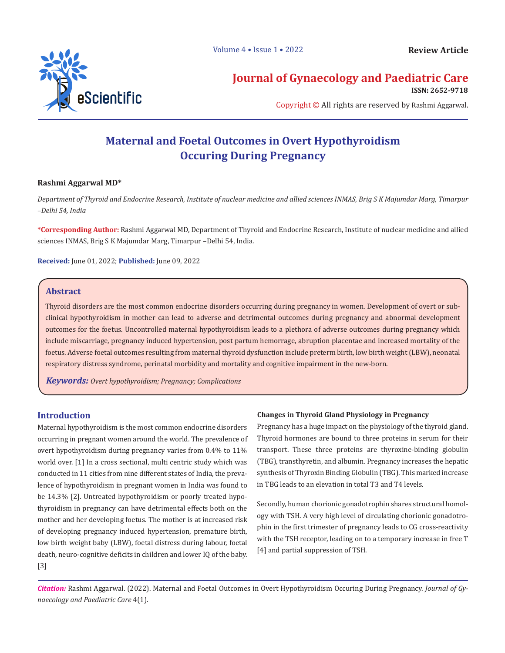

# **Journal of Gynaecology and Paediatric Care**

**ISSN: 2652-9718**

Copyright © All rights are reserved by Rashmi Aggarwal.

# **Maternal and Foetal Outcomes in Overt Hypothyroidism Occuring During Pregnancy**

## **Rashmi Aggarwal MD\***

*Department of Thyroid and Endocrine Research, Institute of nuclear medicine and allied sciences INMAS, Brig S K Majumdar Marg, Timarpur –Delhi 54, India*

**\*Corresponding Author:** Rashmi Aggarwal MD, Department of Thyroid and Endocrine Research, Institute of nuclear medicine and allied sciences INMAS, Brig S K Majumdar Marg, Timarpur –Delhi 54, India.

**Received:** June 01, 2022; **Published:** June 09, 2022

# **Abstract**

Thyroid disorders are the most common endocrine disorders occurring during pregnancy in women. Development of overt or subclinical hypothyroidism in mother can lead to adverse and detrimental outcomes during pregnancy and abnormal development outcomes for the foetus. Uncontrolled maternal hypothyroidism leads to a plethora of adverse outcomes during pregnancy which include miscarriage, pregnancy induced hypertension, post partum hemorrage, abruption placentae and increased mortality of the foetus. Adverse foetal outcomes resulting from maternal thyroid dysfunction include preterm birth, low birth weight (LBW), neonatal respiratory distress syndrome, perinatal morbidity and mortality and cognitive impairment in the new-born.

*Keywords: Overt hypothyroidism; Pregnancy; Complications*

# **Introduction**

Maternal hypothyroidism is the most common endocrine disorders occurring in pregnant women around the world. The prevalence of overt hypothyroidism during pregnancy varies from 0.4% to 11% world over. [1] In a cross sectional, multi centric study which was conducted in 11 cities from nine different states of India, the prevalence of hypothyroidism in pregnant women in India was found to be 14.3% [2]. Untreated hypothyroidism or poorly treated hypothyroidism in pregnancy can have detrimental effects both on the mother and her developing foetus. The mother is at increased risk of developing pregnancy induced hypertension, premature birth, low birth weight baby (LBW), foetal distress during labour, foetal death, neuro-cognitive deficits in children and lower IQ of the baby. [3]

### **Changes in Thyroid Gland Physiology in Pregnancy**

Pregnancy has a huge impact on the physiology of the thyroid gland. Thyroid hormones are bound to three proteins in serum for their transport. These three proteins are thyroxine-binding globulin (TBG), transthyretin, and albumin. Pregnancy increases the hepatic synthesis of Thyroxin Binding Globulin (TBG). This marked increase in TBG leads to an elevation in total T3 and T4 levels.

Secondly, human chorionic gonadotrophin shares structural homology with TSH. A very high level of circulating chorionic gonadotrophin in the first trimester of pregnancy leads to CG cross-reactivity with the TSH receptor, leading on to a temporary increase in free T [4] and partial suppression of TSH.

*Citation:* Rashmi Aggarwal. (2022). Maternal and Foetal Outcomes in Overt Hypothyroidism Occuring During Pregnancy. *Journal of Gynaecology and Paediatric Care* 4(1).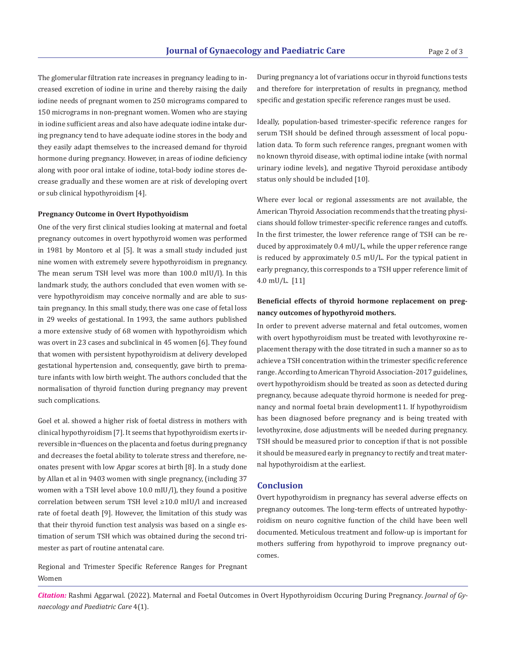The glomerular filtration rate increases in pregnancy leading to increased excretion of iodine in urine and thereby raising the daily iodine needs of pregnant women to 250 micrograms compared to 150 micrograms in non-pregnant women. Women who are staying in iodine sufficient areas and also have adequate iodine intake during pregnancy tend to have adequate iodine stores in the body and they easily adapt themselves to the increased demand for thyroid hormone during pregnancy. However, in areas of iodine deficiency along with poor oral intake of iodine, total-body iodine stores decrease gradually and these women are at risk of developing overt or sub clinical hypothyroidism [4].

#### **Pregnancy Outcome in Overt Hypothyoidism**

One of the very first clinical studies looking at maternal and foetal pregnancy outcomes in overt hypothyroid women was performed in 1981 by Montoro et al [5]. It was a small study included just nine women with extremely severe hypothyroidism in pregnancy. The mean serum TSH level was more than 100.0 mIU/l). In this landmark study, the authors concluded that even women with severe hypothyroidism may conceive normally and are able to sustain pregnancy. In this small study, there was one case of fetal loss in 29 weeks of gestational. In 1993, the same authors published a more extensive study of 68 women with hypothyroidism which was overt in 23 cases and subclinical in 45 women [6]. They found that women with persistent hypothyroidism at delivery developed gestational hypertension and, consequently, gave birth to premature infants with low birth weight. The authors concluded that the normalisation of thyroid function during pregnancy may prevent such complications.

Goel et al. showed a higher risk of foetal distress in mothers with clinical hypothyroidism [7]. It seems that hypothyroidism exerts irreversible in¬fluences on the placenta and foetus during pregnancy and decreases the foetal ability to tolerate stress and therefore, neonates present with low Apgar scores at birth [8]. In a study done by Allan et al in 9403 women with single pregnancy, (including 37 women with a TSH level above 10.0 mIU/l), they found a positive correlation between serum TSH level ≥10.0 mIU/l and increased rate of foetal death [9]. However, the limitation of this study was that their thyroid function test analysis was based on a single estimation of serum TSH which was obtained during the second trimester as part of routine antenatal care.

Regional and Trimester Specific Reference Ranges for Pregnant Women

During pregnancy a lot of variations occur in thyroid functions tests and therefore for interpretation of results in pregnancy, method specific and gestation specific reference ranges must be used.

Ideally, population-based trimester-specific reference ranges for serum TSH should be defined through assessment of local population data. To form such reference ranges, pregnant women with no known thyroid disease, with optimal iodine intake (with normal urinary iodine levels), and negative Thyroid peroxidase antibody status only should be included [10].

Where ever local or regional assessments are not available, the American Thyroid Association recommends that the treating physicians should follow trimester-specific reference ranges and cutoffs. In the first trimester, the lower reference range of TSH can be reduced by approximately 0.4 mU/L, while the upper reference range is reduced by approximately 0.5 mU/L. For the typical patient in early pregnancy, this corresponds to a TSH upper reference limit of 4.0 mU/L. [11]

# **Beneficial effects of thyroid hormone replacement on pregnancy outcomes of hypothyroid mothers.**

In order to prevent adverse maternal and fetal outcomes, women with overt hypothyroidism must be treated with levothyroxine replacement therapy with the dose titrated in such a manner so as to achieve a TSH concentration within the trimester specific reference range. According to American Thyroid Association-2017 guidelines, overt hypothyroidism should be treated as soon as detected during pregnancy, because adequate thyroid hormone is needed for pregnancy and normal foetal brain development11. If hypothyroidism has been diagnosed before pregnancy and is being treated with levothyroxine, dose adjustments will be needed during pregnancy. TSH should be measured prior to conception if that is not possible it should be measured early in pregnancy to rectify and treat maternal hypothyroidism at the earliest.

#### **Conclusion**

Overt hypothyroidism in pregnancy has several adverse effects on pregnancy outcomes. The long-term effects of untreated hypothyroidism on neuro cognitive function of the child have been well documented. Meticulous treatment and follow-up is important for mothers suffering from hypothyroid to improve pregnancy outcomes.

*Citation:* Rashmi Aggarwal. (2022). Maternal and Foetal Outcomes in Overt Hypothyroidism Occuring During Pregnancy. *Journal of Gynaecology and Paediatric Care* 4(1).